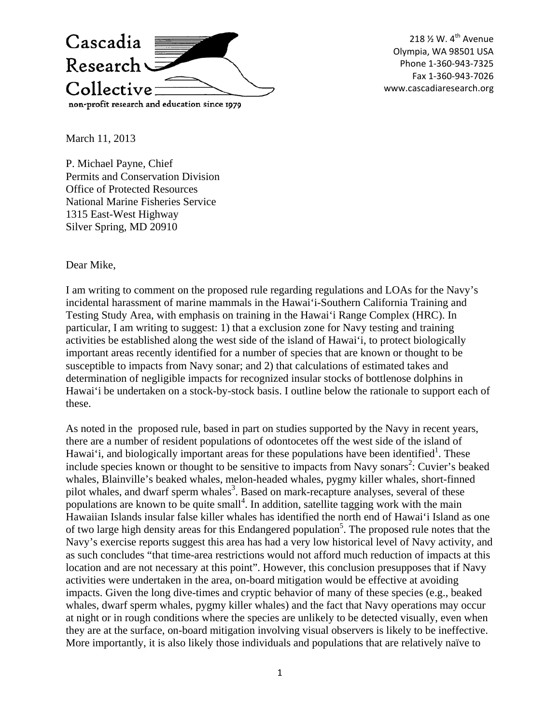

218 <sup>1</sup>/<sub>2</sub> W. 4<sup>th</sup> Avenue Olympia, WA 98501 USA Phone 1‐360‐943‐7325 Fax 1‐360‐943‐7026 www.cascadiaresearch.org

March 11, 2013

P. Michael Payne, Chief Permits and Conservation Division Office of Protected Resources National Marine Fisheries Service 1315 East-West Highway Silver Spring, MD 20910

Dear Mike,

I am writing to comment on the proposed rule regarding regulations and LOAs for the Navy's incidental harassment of marine mammals in the Hawai'i-Southern California Training and Testing Study Area, with emphasis on training in the Hawai'i Range Complex (HRC). In particular, I am writing to suggest: 1) that a exclusion zone for Navy testing and training activities be established along the west side of the island of Hawai'i, to protect biologically important areas recently identified for a number of species that are known or thought to be susceptible to impacts from Navy sonar; and 2) that calculations of estimated takes and determination of negligible impacts for recognized insular stocks of bottlenose dolphins in Hawai'i be undertaken on a stock-by-stock basis. I outline below the rationale to support each of these.

As noted in the proposed rule, based in part on studies supported by the Navy in recent years, there are a number of resident populations of odontocetes off the west side of the island of Hawai'i, and biologically important areas for these populations have been identified<sup>1</sup>. These include species known or thought to be sensitive to impacts from Navy sonars<sup>2</sup>: Cuvier's beaked whales, Blainville's beaked whales, melon-headed whales, pygmy killer whales, short-finned pilot whales, and dwarf sperm whales<sup>3</sup>. Based on mark-recapture analyses, several of these populations are known to be quite small<sup>4</sup>. In addition, satellite tagging work with the main Hawaiian Islands insular false killer whales has identified the north end of Hawai'i Island as one of two large high density areas for this Endangered population<sup>5</sup>. The proposed rule notes that the Navy's exercise reports suggest this area has had a very low historical level of Navy activity, and as such concludes "that time-area restrictions would not afford much reduction of impacts at this location and are not necessary at this point". However, this conclusion presupposes that if Navy activities were undertaken in the area, on-board mitigation would be effective at avoiding impacts. Given the long dive-times and cryptic behavior of many of these species (e.g., beaked whales, dwarf sperm whales, pygmy killer whales) and the fact that Navy operations may occur at night or in rough conditions where the species are unlikely to be detected visually, even when they are at the surface, on-board mitigation involving visual observers is likely to be ineffective. More importantly, it is also likely those individuals and populations that are relatively naïve to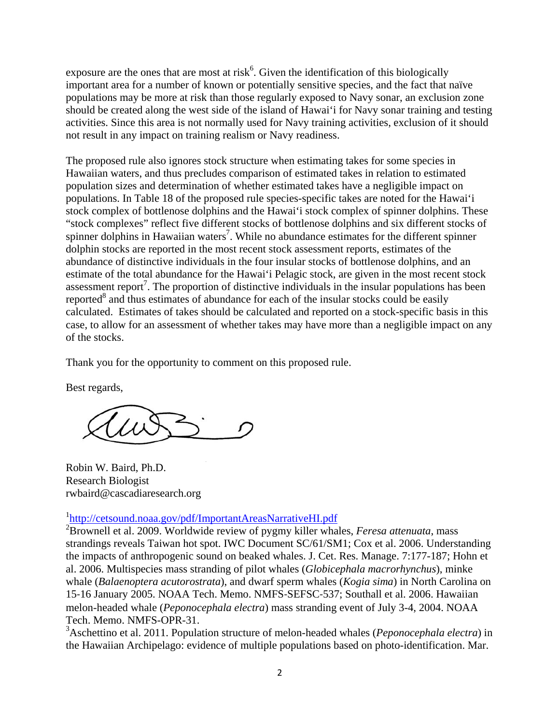exposure are the ones that are most at risk<sup>6</sup>. Given the identification of this biologically important area for a number of known or potentially sensitive species, and the fact that naïve populations may be more at risk than those regularly exposed to Navy sonar, an exclusion zone should be created along the west side of the island of Hawai'i for Navy sonar training and testing activities. Since this area is not normally used for Navy training activities, exclusion of it should not result in any impact on training realism or Navy readiness.

The proposed rule also ignores stock structure when estimating takes for some species in Hawaiian waters, and thus precludes comparison of estimated takes in relation to estimated population sizes and determination of whether estimated takes have a negligible impact on populations. In Table 18 of the proposed rule species-specific takes are noted for the Hawai'i stock complex of bottlenose dolphins and the Hawai'i stock complex of spinner dolphins. These "stock complexes" reflect five different stocks of bottlenose dolphins and six different stocks of spinner dolphins in Hawaiian waters<sup>7</sup>. While no abundance estimates for the different spinner dolphin stocks are reported in the most recent stock assessment reports, estimates of the abundance of distinctive individuals in the four insular stocks of bottlenose dolphins, and an estimate of the total abundance for the Hawai'i Pelagic stock, are given in the most recent stock assessment report<sup>7</sup>. The proportion of distinctive individuals in the insular populations has been reported $8$  and thus estimates of abundance for each of the insular stocks could be easily calculated. Estimates of takes should be calculated and reported on a stock-specific basis in this case, to allow for an assessment of whether takes may have more than a negligible impact on any of the stocks.

Thank you for the opportunity to comment on this proposed rule.

Best regards,

Robin W. Baird, Ph.D. Research Biologist rwbaird@cascadiaresearch.org

<sup>1</sup>http://cetsound.noaa.gov/pdf/ImportantAreasNarrativeHI.pdf<br><sup>2</sup>Provincil et al. 2000. Worldwide review of rygmy killer who

Brownell et al. 2009. Worldwide review of pygmy killer whales, *Feresa attenuata*, mass strandings reveals Taiwan hot spot. IWC Document SC/61/SM1; Cox et al. 2006. Understanding the impacts of anthropogenic sound on beaked whales. J. Cet. Res. Manage. 7:177-187; Hohn et al. 2006. Multispecies mass stranding of pilot whales (*Globicephala macrorhynchus*), minke whale (*Balaenoptera acutorostrata*), and dwarf sperm whales (*Kogia sima*) in North Carolina on 15‐16 January 2005. NOAA Tech. Memo. NMFS‐SEFSC‐537; Southall et al. 2006. Hawaiian melon-headed whale (*Peponocephala electra*) mass stranding event of July 3-4, 2004. NOAA Tech. Memo. NMFS-OPR-31.

3 Aschettino et al. 2011. Population structure of melon-headed whales (*Peponocephala electra*) in the Hawaiian Archipelago: evidence of multiple populations based on photo-identification. Mar.